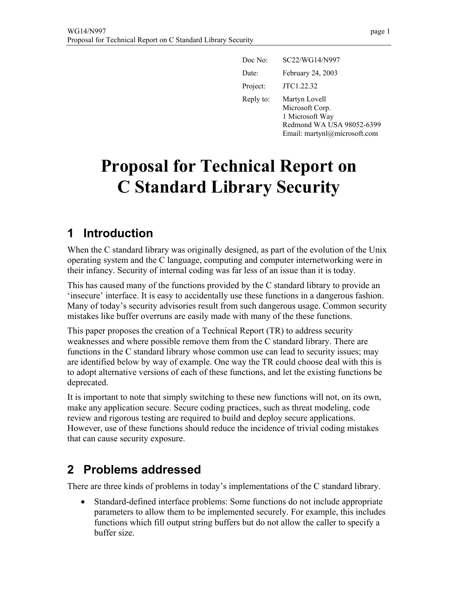| Doc No:   | SC22/WG14/N997                                                                                                   |
|-----------|------------------------------------------------------------------------------------------------------------------|
| Date:     | February 24, 2003                                                                                                |
| Project:  | JTC1.22.32                                                                                                       |
| Reply to: | Martyn Lovell<br>Microsoft Corp.<br>1 Microsoft Way<br>Redmond WA USA 98052-6399<br>Email: martynl@microsoft.com |

# **Proposal for Technical Report on C Standard Library Security**

## **1 Introduction**

When the C standard library was originally designed, as part of the evolution of the Unix operating system and the C language, computing and computer internetworking were in their infancy. Security of internal coding was far less of an issue than it is today.

This has caused many of the functions provided by the C standard library to provide an 'insecure' interface. It is easy to accidentally use these functions in a dangerous fashion. Many of today's security advisories result from such dangerous usage. Common security mistakes like buffer overruns are easily made with many of the these functions.

This paper proposes the creation of a Technical Report (TR) to address security weaknesses and where possible remove them from the C standard library. There are functions in the C standard library whose common use can lead to security issues; may are identified below by way of example. One way the TR could choose deal with this is to adopt alternative versions of each of these functions, and let the existing functions be deprecated.

It is important to note that simply switching to these new functions will not, on its own, make any application secure. Secure coding practices, such as threat modeling, code review and rigorous testing are required to build and deploy secure applications. However, use of these functions should reduce the incidence of trivial coding mistakes that can cause security exposure.

## **2 Problems addressed**

There are three kinds of problems in today's implementations of the C standard library.

• Standard-defined interface problems: Some functions do not include appropriate parameters to allow them to be implemented securely. For example, this includes functions which fill output string buffers but do not allow the caller to specify a buffer size.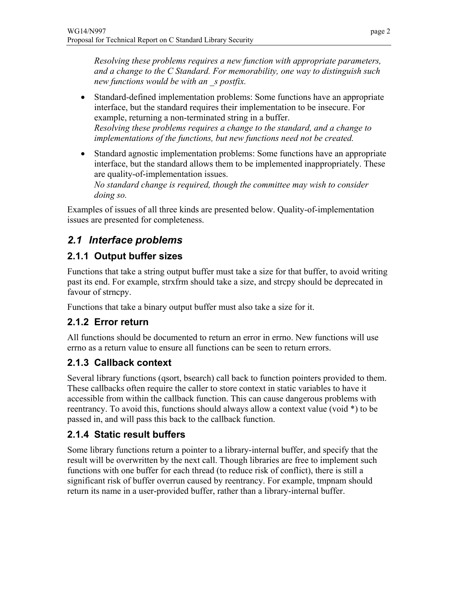*Resolving these problems requires a new function with appropriate parameters, and a change to the C Standard. For memorability, one way to distinguish such new functions would be with an \_s postfix.*

- Standard-defined implementation problems: Some functions have an appropriate interface, but the standard requires their implementation to be insecure. For example, returning a non-terminated string in a buffer. *Resolving these problems requires a change to the standard, and a change to implementations of the functions, but new functions need not be created.*
- Standard agnostic implementation problems: Some functions have an appropriate interface, but the standard allows them to be implemented inappropriately. These are quality-of-implementation issues. *No standard change is required, though the committee may wish to consider doing so.*

Examples of issues of all three kinds are presented below. Quality-of-implementation issues are presented for completeness.

## *2.1 Interface problems*

## **2.1.1 Output buffer sizes**

Functions that take a string output buffer must take a size for that buffer, to avoid writing past its end. For example, strxfrm should take a size, and strcpy should be deprecated in favour of strncpy.

Functions that take a binary output buffer must also take a size for it.

#### **2.1.2 Error return**

All functions should be documented to return an error in errno. New functions will use errno as a return value to ensure all functions can be seen to return errors.

#### **2.1.3 Callback context**

Several library functions (qsort, bsearch) call back to function pointers provided to them. These callbacks often require the caller to store context in static variables to have it accessible from within the callback function. This can cause dangerous problems with reentrancy. To avoid this, functions should always allow a context value (void \*) to be passed in, and will pass this back to the callback function.

## **2.1.4 Static result buffers**

Some library functions return a pointer to a library-internal buffer, and specify that the result will be overwritten by the next call. Though libraries are free to implement such functions with one buffer for each thread (to reduce risk of conflict), there is still a significant risk of buffer overrun caused by reentrancy. For example, tmpnam should return its name in a user-provided buffer, rather than a library-internal buffer.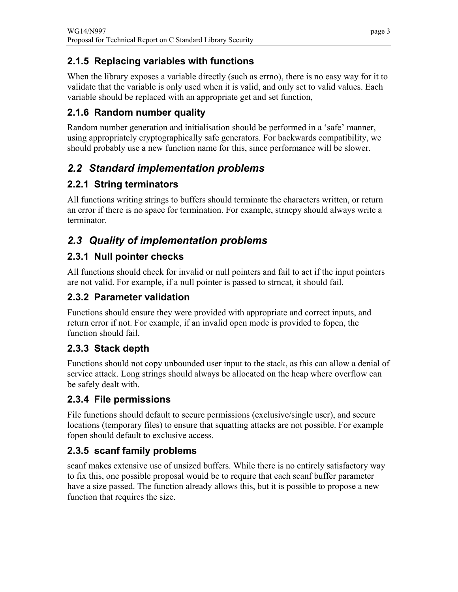## **2.1.5 Replacing variables with functions**

When the library exposes a variable directly (such as errno), there is no easy way for it to validate that the variable is only used when it is valid, and only set to valid values. Each variable should be replaced with an appropriate get and set function,

## **2.1.6 Random number quality**

Random number generation and initialisation should be performed in a 'safe' manner, using appropriately cryptographically safe generators. For backwards compatibility, we should probably use a new function name for this, since performance will be slower.

## *2.2 Standard implementation problems*

## **2.2.1 String terminators**

All functions writing strings to buffers should terminate the characters written, or return an error if there is no space for termination. For example, strncpy should always write a terminator.

## *2.3 Quality of implementation problems*

## **2.3.1 Null pointer checks**

All functions should check for invalid or null pointers and fail to act if the input pointers are not valid. For example, if a null pointer is passed to strncat, it should fail.

## **2.3.2 Parameter validation**

Functions should ensure they were provided with appropriate and correct inputs, and return error if not. For example, if an invalid open mode is provided to fopen, the function should fail.

## **2.3.3 Stack depth**

Functions should not copy unbounded user input to the stack, as this can allow a denial of service attack. Long strings should always be allocated on the heap where overflow can be safely dealt with.

## **2.3.4 File permissions**

File functions should default to secure permissions (exclusive/single user), and secure locations (temporary files) to ensure that squatting attacks are not possible. For example fopen should default to exclusive access.

## **2.3.5 scanf family problems**

scanf makes extensive use of unsized buffers. While there is no entirely satisfactory way to fix this, one possible proposal would be to require that each scanf buffer parameter have a size passed. The function already allows this, but it is possible to propose a new function that requires the size.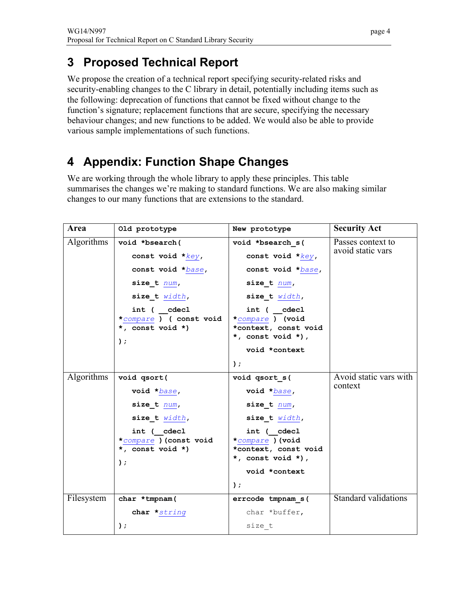# **3 Proposed Technical Report**

We propose the creation of a technical report specifying security-related risks and security-enabling changes to the C library in detail, potentially including items such as the following: deprecation of functions that cannot be fixed without change to the function's signature; replacement functions that are secure, specifying the necessary behaviour changes; and new functions to be added. We would also be able to provide various sample implementations of such functions.

# **4 Appendix: Function Shape Changes**

We are working through the whole library to apply these principles. This table summarises the changes we're making to standard functions. We are also making similar changes to our many functions that are extensions to the standard.

| Area              | Old prototype                                                       | New prototype                                                                | <b>Security Act</b>                    |
|-------------------|---------------------------------------------------------------------|------------------------------------------------------------------------------|----------------------------------------|
| <b>Algorithms</b> | void *bsearch(                                                      | void *bsearch s(                                                             | Passes context to<br>avoid static vars |
|                   | const void $*_{key}$ ,                                              | const void $*key$ ,                                                          |                                        |
|                   | const void *base,                                                   | const void *base,                                                            |                                        |
|                   | size t num,                                                         | size t num,                                                                  |                                        |
|                   | size t width,                                                       | size t width,                                                                |                                        |
|                   | int ( cdecl<br>*compare ) ( const void<br>*, const void *)<br>$)$ ; | int ( cdecl<br>*compare ) (void<br>*context, const void<br>*, const void *), |                                        |
|                   |                                                                     | void *context                                                                |                                        |
|                   |                                                                     | $)$ ;                                                                        |                                        |
| <b>Algorithms</b> | void qsort(                                                         | void qsort s(                                                                | Avoid static vars with<br>context      |
|                   | void *base,                                                         | void *base,                                                                  |                                        |
|                   | size t num,                                                         | size $t$ $num,$                                                              |                                        |
|                   | size t width,                                                       | size $t$ $width,$                                                            |                                        |
|                   | int ( cdecl<br>*compare ) (const void                               | int ( cdecl<br>*compare ) (void                                              |                                        |
|                   | *, const void *)                                                    | *context, const void                                                         |                                        |
|                   | $)$ ;                                                               | *, const void *),                                                            |                                        |
|                   |                                                                     | void *context                                                                |                                        |
|                   |                                                                     | $)$ ;                                                                        |                                        |
| Filesystem        | char *tmpnam(                                                       | errcode tmpnam s(                                                            | <b>Standard validations</b>            |
|                   | char *string                                                        | char *buffer,                                                                |                                        |
|                   | );                                                                  | size t                                                                       |                                        |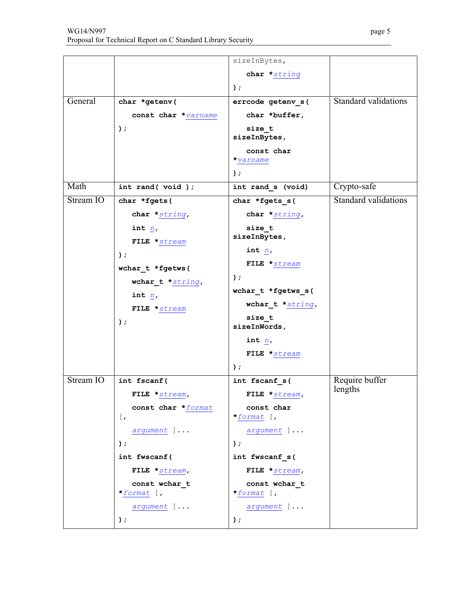|           |                                           | sizeInBytes,                |                             |
|-----------|-------------------------------------------|-----------------------------|-----------------------------|
|           |                                           | char *string                |                             |
|           |                                           | $)$ ;                       |                             |
| General   | char *getenv(                             | errcode getenv s(           | Standard validations        |
|           | const char *varname                       | char *buffer,               |                             |
|           | $)$ ;                                     | size t                      |                             |
|           |                                           | sizeInBytes,                |                             |
|           |                                           | const char                  |                             |
|           |                                           | *varname                    |                             |
|           |                                           | $)$ ;                       |                             |
| Math      | int rand(void);                           | int rand s (void)           | Crypto-safe                 |
| Stream IO | char *fgets(                              | char *fgets s(              | <b>Standard validations</b> |
|           | char *string,                             | char *string,               |                             |
|           | int $n$ ,                                 | size t                      |                             |
|           | FILE *stream                              | sizeInBytes,                |                             |
|           | $)$ ;                                     | int $n$ ,                   |                             |
|           | wchar t *fgetws(                          | FILE *stream                |                             |
|           | wchar_t $*string$ ,                       | $)$ ;                       |                             |
|           | int $n$ ,                                 | wchar_t *fgetws_s(          |                             |
|           | FILE *stream                              | wchar_t $*string,$          |                             |
|           | $)$ ;                                     | $size_t$                    |                             |
|           |                                           | sizeInWords,                |                             |
|           |                                           | int $n$ ,                   |                             |
|           |                                           | FILE *stream                |                             |
|           |                                           | );                          |                             |
| Stream IO | int fscanf(                               | int fscanf s(               | Require buffer<br>lengths   |
|           | FILE *stream,                             | FILE *stream,               |                             |
|           | const char *format                        | const char                  |                             |
|           | $\lceil$ ,                                | *format [,                  |                             |
|           | argument ]                                | argument ]                  |                             |
|           | $)$ ;                                     | );                          |                             |
|           | int fwscanf(                              | int fwscanf s(              |                             |
|           | FILE *stream,                             | FILE *stream,               |                             |
|           | const wchar_t<br>*format $\mathfrak{f}$ , | const wchar t<br>*format [, |                             |
|           |                                           |                             |                             |
|           | argument ]                                | argument ]                  |                             |
|           | );                                        | );                          |                             |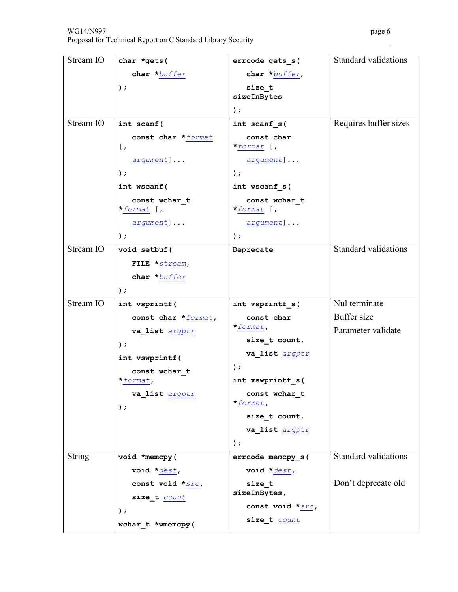| Stream IO     | char *gets(                      | errcode gets s(             | <b>Standard validations</b> |
|---------------|----------------------------------|-----------------------------|-----------------------------|
|               | char *buffer                     | char *buffer,               |                             |
|               | $)$ ;                            | size t                      |                             |
|               |                                  | sizeInBytes                 |                             |
|               |                                  | $\rightarrow$               |                             |
| Stream IO     | int scanf (                      | int scanf s(                | Requires buffer sizes       |
|               | const char *format<br>$\lceil$ , | const char<br>*format $[$ , |                             |
|               | argument]                        | argument]                   |                             |
|               | $)$ ;                            | $)$ ;                       |                             |
|               | int wscanf (                     | int wscanf s(               |                             |
|               | const wchar t<br>*format $[$ ,   | const wchar t<br>*format [, |                             |
|               | argument]                        | argument]                   |                             |
|               | $)$ ;                            | $\rightarrow$               |                             |
| Stream IO     | void setbuf (                    | Deprecate                   | <b>Standard validations</b> |
|               | FILE $\star$ stream,             |                             |                             |
|               | char *buffer                     |                             |                             |
|               | $)$ ;                            |                             |                             |
| Stream IO     | int vsprintf(                    | int vsprintf s(             | Nul terminate               |
|               | const char *format,              | const char                  | Buffer size                 |
|               | va_list argptr                   | $\star$ format,             | Parameter validate          |
|               | $)$ ;                            | size t count,               |                             |
|               | int vswprintf (                  | va_list argptr              |                             |
|               | const wchar t                    | $)$ ;                       |                             |
|               | *format,                         | int vswprintf s(            |                             |
|               | va_list argptr                   | const wchar t<br>*format,   |                             |
|               | );                               | size t count,               |                             |
|               |                                  | va_list argptr              |                             |
|               |                                  | $)$ ;                       |                             |
| <b>String</b> | void *memcpy(                    | errcode memcpy_s(           | Standard validations        |
|               | void $\star$ dest,               | void $\star$ dest,          |                             |
|               | const void *src,                 | size t                      | Don't deprecate old         |
|               | size_t count                     | sizeInBytes,                |                             |
|               | );                               | const void *src,            |                             |
|               | wchar t *wmemcpy(                | size_t count                |                             |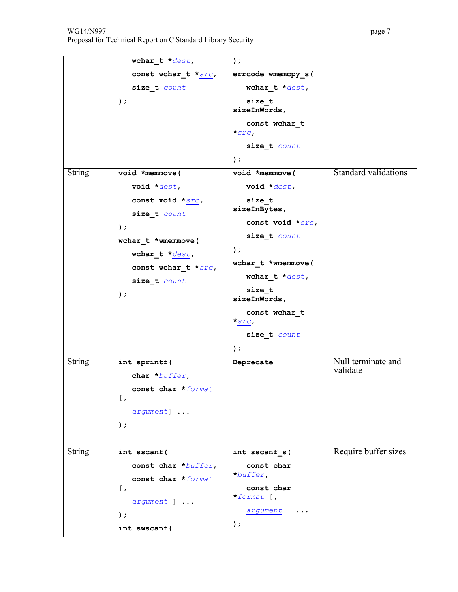| WG14/N997                                                    | page 7 |
|--------------------------------------------------------------|--------|
| Proposal for Technical Report on C Standard Library Security |        |

|               | wchar $t * dest$ ,  | $\rightarrow$              |                                |
|---------------|---------------------|----------------------------|--------------------------------|
|               | const wchar_t *src, |                            |                                |
|               |                     | errcode wmemcpy_s(         |                                |
|               | size_t count        | wchar_t *dest,             |                                |
|               | $)$ ;               | size t<br>sizeInWords,     |                                |
|               |                     | const wchar t<br>$*_{STC}$ |                                |
|               |                     | size_t count               |                                |
|               |                     | $)$ ;                      |                                |
| <b>String</b> | void *memmove(      | void *memmove(             | <b>Standard validations</b>    |
|               | void *dest,         | void $\star$ dest,         |                                |
|               | const void *src,    | size t<br>sizeInBytes,     |                                |
|               | size t count        | const void *src,           |                                |
|               | $)$ ;               | size_t count               |                                |
|               | wchar t *wmemmove(  | $)$ ;                      |                                |
|               | wchar $t * dest$ ,  | wchar t *wmemmove(         |                                |
|               | const wchar t *src, | wchar t * $dest$ ,         |                                |
|               | size_t count        | size t                     |                                |
|               | $)$ ;               | sizeInWords,               |                                |
|               |                     | const wchar t              |                                |
|               |                     | $*$ src,                   |                                |
|               |                     | size_t count               |                                |
|               |                     | $)$ ;                      |                                |
| <b>String</b> | int sprintf(        | Deprecate                  | Null terminate and<br>validate |
|               | char *buffer,       |                            |                                |
|               | const char *format  |                            |                                |
|               | $\lceil$ ,          |                            |                                |
|               | argument]           |                            |                                |
|               | $)$ ;               |                            |                                |
| <b>String</b> | int sscanf (        | int sscanf_s(              | Require buffer sizes           |
|               | const char *buffer, | const char                 |                                |
|               | const char *format  | *buffer,                   |                                |
|               | $\lceil$ ,          | const char                 |                                |
|               | argument ]          | *format $[$ ,              |                                |
|               | $)$ ;               | argument ]                 |                                |
|               | int swscanf (       | $)$ ;                      |                                |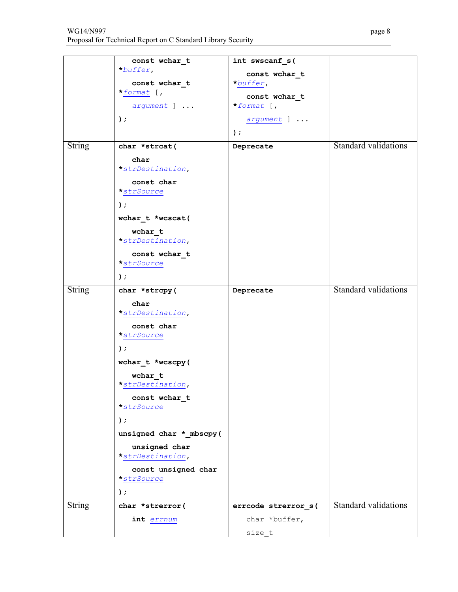|               | const wchar t<br>*buffer,          | int swscanf s(            |                             |
|---------------|------------------------------------|---------------------------|-----------------------------|
|               | const wchar t                      | const wchar t<br>*buffer, |                             |
|               | *format $\mathfrak{f}$ ,           | const wchar t             |                             |
|               | argument ]                         | *format $[$ ,             |                             |
|               | $)$ ;                              | argument ]                |                             |
|               |                                    | $)$ ;                     |                             |
| <b>String</b> | char *strcat(                      | Deprecate                 | <b>Standard validations</b> |
|               | char<br>*strDestination,           |                           |                             |
|               | const char<br>$\star$ str $Source$ |                           |                             |
|               | $)$ ;                              |                           |                             |
|               | wchar t *wcscat(                   |                           |                             |
|               | wchar t<br>*strDestination,        |                           |                             |
|               | const wchar_t                      |                           |                             |
|               | $\star_{strSource}$<br>$)$ ;       |                           |                             |
|               |                                    |                           | <b>Standard validations</b> |
| <b>String</b> | char *strcpy(                      | Deprecate                 |                             |
|               | char<br>*strDestination,           |                           |                             |
|               | const char                         |                           |                             |
|               | *strSource                         |                           |                             |
|               | $)$ ;                              |                           |                             |
|               | wchar t *wcscpy(                   |                           |                             |
|               | $wchar_t$<br>*strDestination,      |                           |                             |
|               | const wchar t                      |                           |                             |
|               | $\star$ str $Source$               |                           |                             |
|               | $)$ ;                              |                           |                             |
|               | unsigned char * mbscpy(            |                           |                             |
|               | unsigned char<br>*strDestination,  |                           |                             |
|               | const unsigned char<br>*strSource  |                           |                             |
|               | $)$ ;                              |                           |                             |
| <b>String</b> | char *strerror(                    | errcode strerror s(       | <b>Standard validations</b> |
|               | int errnum                         | char *buffer,             |                             |
|               |                                    | size t                    |                             |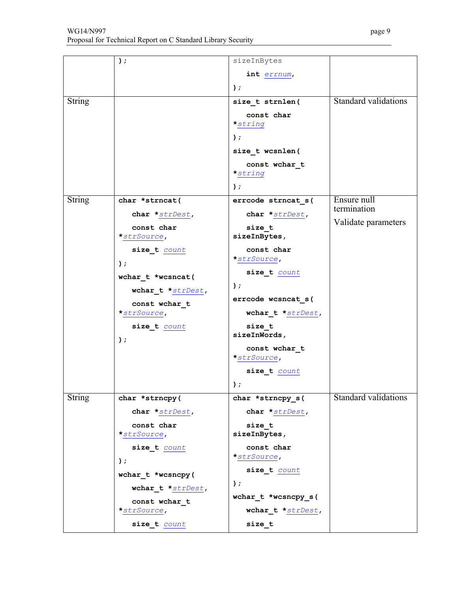|               | );                             | sizeInBytes                     |                             |
|---------------|--------------------------------|---------------------------------|-----------------------------|
|               |                                | int errnum,                     |                             |
|               |                                | $)$ ;                           |                             |
| <b>String</b> |                                | size t strnlen(                 | <b>Standard validations</b> |
|               |                                | const char<br>$\star$ string    |                             |
|               |                                | $\,$ ;                          |                             |
|               |                                | size t wcsnlen(                 |                             |
|               |                                | const wchar t<br>$\star$ string |                             |
|               |                                | $\rightarrow$                   |                             |
| String        | char *strncat(                 | errcode strncat_s(              | Ensure null                 |
|               | char *strDest,                 | char *strDest,                  | termination                 |
|               | const char                     | size t                          | Validate parameters         |
|               | *strSource,                    | sizeInBytes,                    |                             |
|               | size_t count                   | const char                      |                             |
|               | $)$ ;                          | *strSource,                     |                             |
|               | wchar t *wcsncat(              | size_t count                    |                             |
|               | wchar_t $*_{\text{strDest}}$ , | $)$ ;                           |                             |
|               | const wchar t                  | errcode wcsncat_s(              |                             |
|               | *strSource,                    | wchar_t *strDest,               |                             |
|               | size_t count                   | size t<br>sizeInWords,          |                             |
|               | $)$ ;                          | const wchar t                   |                             |
|               |                                | *strSource,                     |                             |
|               |                                | size_t count                    |                             |
|               |                                | );                              |                             |
| <b>String</b> | char *strncpy(                 | char *strncpy s(                | Standard validations        |
|               | char *strDest,                 | char *strDest,                  |                             |
|               | const char                     | size t                          |                             |
|               | *strSource,                    | sizeInBytes,                    |                             |
|               | size_t count                   | const char<br>*strSource,       |                             |
|               | $)$ ;                          |                                 |                             |
|               | wchar_t *wcsncpy(              | size_t count                    |                             |
|               | wchar_t *strDest,              | );                              |                             |
|               | const wchar t                  | wchar_t *wcsncpy_s(             |                             |
|               | *strSource,                    | wchar_t *strDest,               |                             |
|               | size t count                   | size t                          |                             |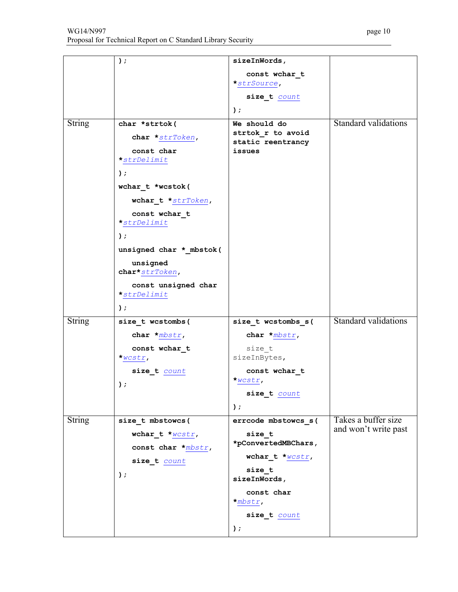|               | $)$ ;                         | sizeInWords,                      |                             |
|---------------|-------------------------------|-----------------------------------|-----------------------------|
|               |                               | const wchar t                     |                             |
|               |                               | *strSource,                       |                             |
|               |                               | size_t count                      |                             |
|               |                               | $)$ ;                             |                             |
|               |                               |                                   |                             |
| <b>String</b> | char *strtok(                 | We should do<br>strtok r to avoid | <b>Standard validations</b> |
|               | char *strToken,               | static reentrancy                 |                             |
|               | const char                    | issues                            |                             |
|               | *strDelimit                   |                                   |                             |
|               | $)$ ;                         |                                   |                             |
|               | wchar t *wcstok(              |                                   |                             |
|               | wchar_t *strToken,            |                                   |                             |
|               | const wchar t                 |                                   |                             |
|               | *strDelimit                   |                                   |                             |
|               | $)$ ;                         |                                   |                             |
|               | unsigned char * mbstok(       |                                   |                             |
|               | unsigned                      |                                   |                             |
|               | char*strToken,                |                                   |                             |
|               | const unsigned char           |                                   |                             |
|               | *strDelimit                   |                                   |                             |
|               | $)$ ;                         |                                   |                             |
| <b>String</b> | size t wcstombs (             | size_t wcstombs_s(                | <b>Standard validations</b> |
|               |                               |                                   |                             |
|               | char $*mbstr$ ,               | char $*$ mbstr,                   |                             |
|               | const wchar_t                 | size t                            |                             |
|               | $*$ wcstr,                    | sizeInBytes,                      |                             |
|               | size_t count                  | const wchar t                     |                             |
|               | );                            | $*$ wcstr,                        |                             |
|               |                               | size t count                      |                             |
|               |                               | $)$ ;                             |                             |
| <b>String</b> | size t mbstowcs(              | errcode mbstowcs s(               | Takes a buffer size         |
|               | wchar_t $*_{WCSLT}$ ,         | size t                            | and won't write past        |
|               | const char $*$ <i>mbstr</i> , | *pConvertedMBChars,               |                             |
|               | size t count                  | wchar_t $*_{\text{wcstr}}$ ,      |                             |
|               |                               | size t                            |                             |
|               | $)$ ;                         | sizeInWords,                      |                             |
|               |                               | const char                        |                             |
|               |                               | $*$ mbstr,                        |                             |
|               |                               | size_t count                      |                             |
|               |                               | $)$ ;                             |                             |
|               |                               |                                   |                             |